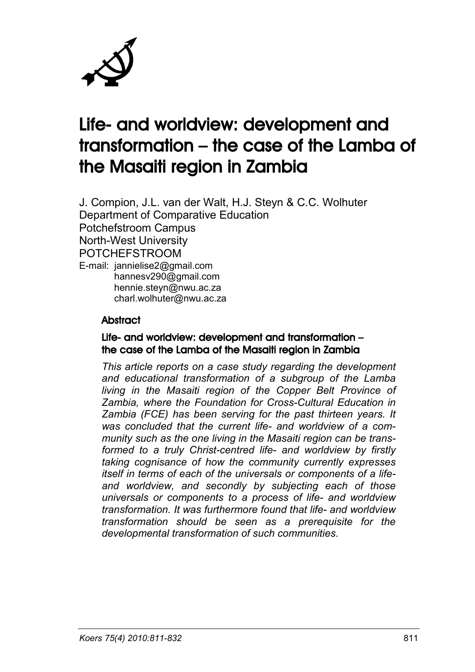

# Life- and worldview: development and transformation – the case of the Lamba of the Masaiti region in Zambia

J. Compion, J.L. van der Walt, H.J. Steyn & C.C. Wolhuter Department of Comparative Education Potchefstroom Campus North-West University POTCHEFSTROOM E-mail: jannielise2@gmail.com hannesv290@gmail.com hennie.steyn@nwu.ac.za charl.wolhuter@nwu.ac.za

#### **Abstract**

#### Life- and worldview: development and transformation – the case of the Lamba of the Masaiti region in Zambia

*This article reports on a case study regarding the development and educational transformation of a subgroup of the Lamba living in the Masaiti region of the Copper Belt Province of Zambia, where the Foundation for Cross-Cultural Education in Zambia (FCE) has been serving for the past thirteen years. It was concluded that the current life- and worldview of a community such as the one living in the Masaiti region can be transformed to a truly Christ-centred life- and worldview by firstly taking cognisance of how the community currently expresses itself in terms of each of the universals or components of a lifeand worldview, and secondly by subjecting each of those universals or components to a process of life- and worldview transformation. It was furthermore found that life- and worldview transformation should be seen as a prerequisite for the developmental transformation of such communities.*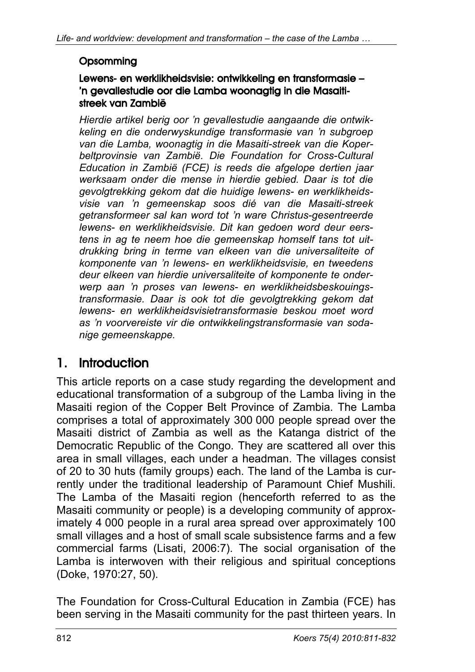#### **Opsomming**

#### Lewens- en werklikheidsvisie: ontwikkeling en transformasie – 'n gevallestudie oor die Lamba woonagtig in die Masaitistreek van Zambië

*Hierdie artikel berig oor 'n gevallestudie aangaande die ontwikkeling en die onderwyskundige transformasie van 'n subgroep van die Lamba, woonagtig in die Masaiti-streek van die Koperbeltprovinsie van Zambië. Die Foundation for Cross-Cultural Education in Zambië (FCE) is reeds die afgelope dertien jaar werksaam onder die mense in hierdie gebied. Daar is tot die gevolgtrekking gekom dat die huidige lewens- en werklikheidsvisie van 'n gemeenskap soos dié van die Masaiti-streek getransformeer sal kan word tot 'n ware Christus-gesentreerde lewens- en werklikheidsvisie. Dit kan gedoen word deur eerstens in ag te neem hoe die gemeenskap homself tans tot uitdrukking bring in terme van elkeen van die universaliteite of komponente van 'n lewens- en werklikheidsvisie, en tweedens deur elkeen van hierdie universaliteite of komponente te onderwerp aan 'n proses van lewens- en werklikheidsbeskouingstransformasie. Daar is ook tot die gevolgtrekking gekom dat lewens- en werklikheidsvisietransformasie beskou moet word as 'n voorvereiste vir die ontwikkelingstransformasie van sodanige gemeenskappe.*

### 1. Introduction

This article reports on a case study regarding the development and educational transformation of a subgroup of the Lamba living in the Masaiti region of the Copper Belt Province of Zambia. The Lamba comprises a total of approximately 300 000 people spread over the Masaiti district of Zambia as well as the Katanga district of the Democratic Republic of the Congo. They are scattered all over this area in small villages, each under a headman. The villages consist of 20 to 30 huts (family groups) each. The land of the Lamba is currently under the traditional leadership of Paramount Chief Mushili. The Lamba of the Masaiti region (henceforth referred to as the Masaiti community or people) is a developing community of approximately 4 000 people in a rural area spread over approximately 100 small villages and a host of small scale subsistence farms and a few commercial farms (Lisati, 2006:7). The social organisation of the Lamba is interwoven with their religious and spiritual conceptions (Doke, 1970:27, 50).

The Foundation for Cross-Cultural Education in Zambia (FCE) has been serving in the Masaiti community for the past thirteen years. In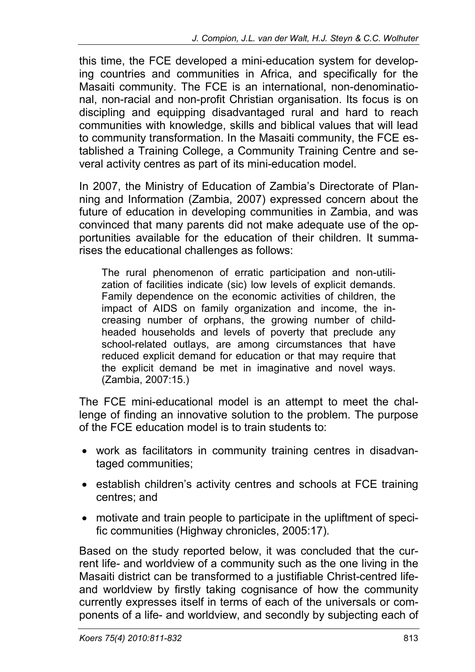this time, the FCE developed a mini-education system for developing countries and communities in Africa, and specifically for the Masaiti community. The FCE is an international, non-denominational, non-racial and non-profit Christian organisation. Its focus is on discipling and equipping disadvantaged rural and hard to reach communities with knowledge, skills and biblical values that will lead to community transformation. In the Masaiti community, the FCE established a Training College, a Community Training Centre and several activity centres as part of its mini-education model.

In 2007, the Ministry of Education of Zambia's Directorate of Planning and Information (Zambia, 2007) expressed concern about the future of education in developing communities in Zambia, and was convinced that many parents did not make adequate use of the opportunities available for the education of their children. It summarises the educational challenges as follows:

The rural phenomenon of erratic participation and non-utilization of facilities indicate (sic) low levels of explicit demands. Family dependence on the economic activities of children, the impact of AIDS on family organization and income, the increasing number of orphans, the growing number of childheaded households and levels of poverty that preclude any school-related outlays, are among circumstances that have reduced explicit demand for education or that may require that the explicit demand be met in imaginative and novel ways. (Zambia, 2007:15.)

The FCE mini-educational model is an attempt to meet the challenge of finding an innovative solution to the problem. The purpose of the FCE education model is to train students to:

- work as facilitators in community training centres in disadvantaged communities;
- establish children's activity centres and schools at FCE training centres; and
- motivate and train people to participate in the upliftment of specific communities (Highway chronicles, 2005:17).

Based on the study reported below, it was concluded that the current life- and worldview of a community such as the one living in the Masaiti district can be transformed to a justifiable Christ-centred lifeand worldview by firstly taking cognisance of how the community currently expresses itself in terms of each of the universals or components of a life- and worldview, and secondly by subjecting each of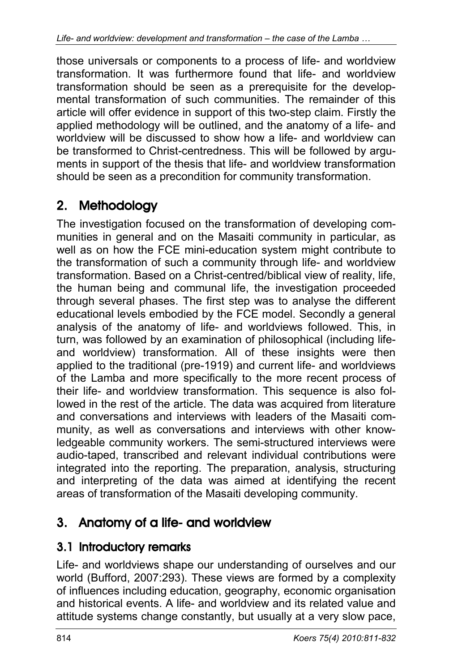those universals or components to a process of life- and worldview transformation. It was furthermore found that life- and worldview transformation should be seen as a prerequisite for the developmental transformation of such communities. The remainder of this article will offer evidence in support of this two-step claim. Firstly the applied methodology will be outlined, and the anatomy of a life- and worldview will be discussed to show how a life- and worldview can be transformed to Christ-centredness. This will be followed by arguments in support of the thesis that life- and worldview transformation should be seen as a precondition for community transformation.

## 2. Methodology

The investigation focused on the transformation of developing communities in general and on the Masaiti community in particular, as well as on how the FCE mini-education system might contribute to the transformation of such a community through life- and worldview transformation. Based on a Christ-centred/biblical view of reality, life, the human being and communal life, the investigation proceeded through several phases. The first step was to analyse the different educational levels embodied by the FCE model. Secondly a general analysis of the anatomy of life- and worldviews followed. This, in turn, was followed by an examination of philosophical (including lifeand worldview) transformation. All of these insights were then applied to the traditional (pre-1919) and current life- and worldviews of the Lamba and more specifically to the more recent process of their life- and worldview transformation. This sequence is also followed in the rest of the article. The data was acquired from literature and conversations and interviews with leaders of the Masaiti community, as well as conversations and interviews with other knowledgeable community workers. The semi-structured interviews were audio-taped, transcribed and relevant individual contributions were integrated into the reporting. The preparation, analysis, structuring and interpreting of the data was aimed at identifying the recent areas of transformation of the Masaiti developing community.

## 3. Anatomy of a life- and worldview

### 3.1 Introductory remarks

Life- and worldviews shape our understanding of ourselves and our world (Bufford, 2007:293). These views are formed by a complexity of influences including education, geography, economic organisation and historical events. A life- and worldview and its related value and attitude systems change constantly, but usually at a very slow pace,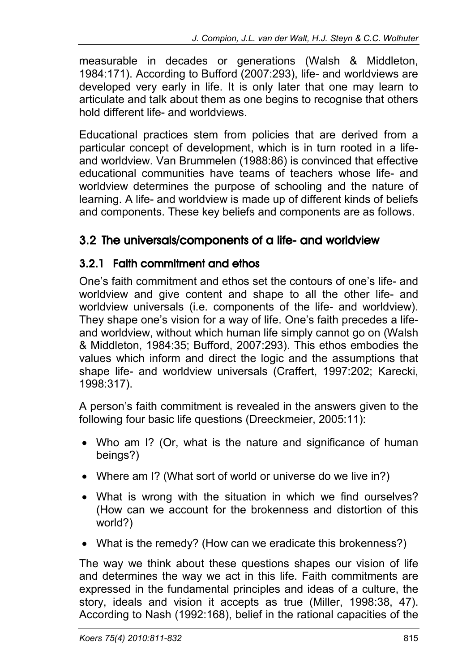measurable in decades or generations (Walsh & Middleton, 1984:171). According to Bufford (2007:293), life- and worldviews are developed very early in life. It is only later that one may learn to articulate and talk about them as one begins to recognise that others hold different life- and worldviews.

Educational practices stem from policies that are derived from a particular concept of development, which is in turn rooted in a lifeand worldview. Van Brummelen (1988:86) is convinced that effective educational communities have teams of teachers whose life- and worldview determines the purpose of schooling and the nature of learning. A life- and worldview is made up of different kinds of beliefs and components. These key beliefs and components are as follows.

### 3.2 The universals/components of a life- and worldview

#### 3.2.1 Faith commitment and ethos

One's faith commitment and ethos set the contours of one's life- and worldview and give content and shape to all the other life- and worldview universals (i.e. components of the life- and worldview). They shape one's vision for a way of life. One's faith precedes a lifeand worldview, without which human life simply cannot go on (Walsh & Middleton, 1984:35; Bufford, 2007:293). This ethos embodies the values which inform and direct the logic and the assumptions that shape life- and worldview universals (Craffert, 1997:202; Karecki, 1998:317).

A person's faith commitment is revealed in the answers given to the following four basic life questions (Dreeckmeier, 2005:11):

- Who am I? (Or, what is the nature and significance of human beings?)
- Where am I? (What sort of world or universe do we live in?)
- What is wrong with the situation in which we find ourselves? (How can we account for the brokenness and distortion of this world?)
- What is the remedy? (How can we eradicate this brokenness?)

The way we think about these questions shapes our vision of life and determines the way we act in this life. Faith commitments are expressed in the fundamental principles and ideas of a culture, the story, ideals and vision it accepts as true (Miller, 1998:38, 47). According to Nash (1992:168), belief in the rational capacities of the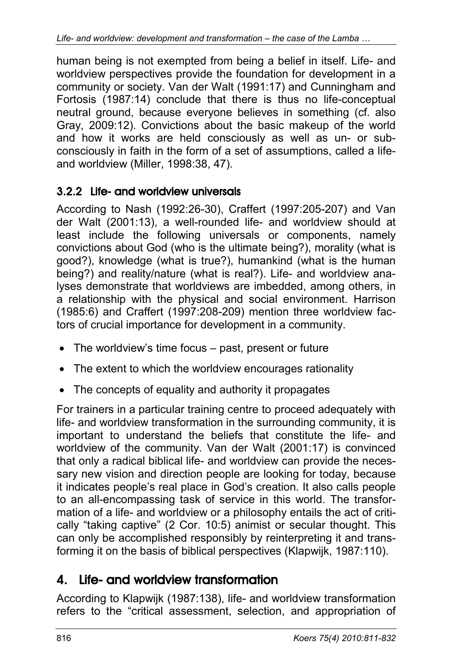human being is not exempted from being a belief in itself. Life- and worldview perspectives provide the foundation for development in a community or society. Van der Walt (1991:17) and Cunningham and Fortosis (1987:14) conclude that there is thus no life-conceptual neutral ground, because everyone believes in something (cf. also Gray, 2009:12). Convictions about the basic makeup of the world and how it works are held consciously as well as un- or subconsciously in faith in the form of a set of assumptions, called a lifeand worldview (Miller, 1998:38, 47).

### 3.2.2 Life- and worldview universals

According to Nash (1992:26-30), Craffert (1997:205-207) and Van der Walt (2001:13), a well-rounded life- and worldview should at least include the following universals or components, namely convictions about God (who is the ultimate being?), morality (what is good?), knowledge (what is true?), humankind (what is the human being?) and reality/nature (what is real?). Life- and worldview analyses demonstrate that worldviews are imbedded, among others, in a relationship with the physical and social environment. Harrison (1985:6) and Craffert (1997:208-209) mention three worldview factors of crucial importance for development in a community.

- The worldview's time focus past, present or future
- The extent to which the worldview encourages rationality
- The concepts of equality and authority it propagates

For trainers in a particular training centre to proceed adequately with life- and worldview transformation in the surrounding community, it is important to understand the beliefs that constitute the life- and worldview of the community. Van der Walt (2001:17) is convinced that only a radical biblical life- and worldview can provide the necessary new vision and direction people are looking for today, because it indicates people's real place in God's creation. It also calls people to an all-encompassing task of service in this world. The transformation of a life- and worldview or a philosophy entails the act of critically "taking captive" (2 Cor. 10:5) animist or secular thought. This can only be accomplished responsibly by reinterpreting it and transforming it on the basis of biblical perspectives (Klapwijk, 1987:110).

### 4. Life- and worldview transformation

According to Klapwijk (1987:138), life- and worldview transformation refers to the "critical assessment, selection, and appropriation of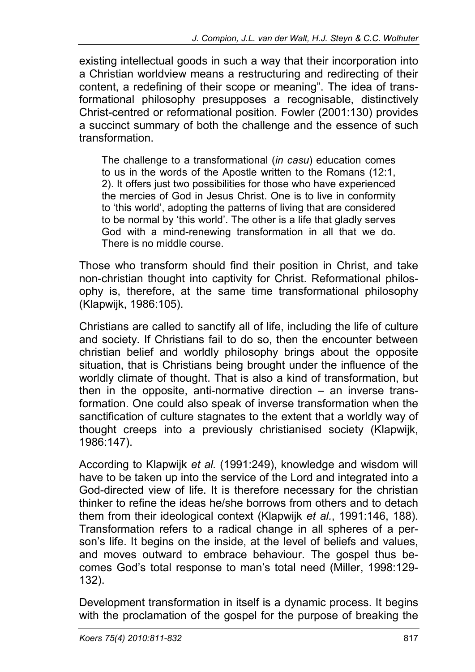existing intellectual goods in such a way that their incorporation into a Christian worldview means a restructuring and redirecting of their content, a redefining of their scope or meaning". The idea of transformational philosophy presupposes a recognisable, distinctively Christ-centred or reformational position. Fowler (2001:130) provides a succinct summary of both the challenge and the essence of such transformation.

The challenge to a transformational (*in casu*) education comes to us in the words of the Apostle written to the Romans (12:1, 2). It offers just two possibilities for those who have experienced the mercies of God in Jesus Christ. One is to live in conformity to 'this world', adopting the patterns of living that are considered to be normal by 'this world'. The other is a life that gladly serves God with a mind-renewing transformation in all that we do. There is no middle course.

Those who transform should find their position in Christ, and take non-christian thought into captivity for Christ. Reformational philosophy is, therefore, at the same time transformational philosophy (Klapwijk, 1986:105).

Christians are called to sanctify all of life, including the life of culture and society. If Christians fail to do so, then the encounter between christian belief and worldly philosophy brings about the opposite situation, that is Christians being brought under the influence of the worldly climate of thought. That is also a kind of transformation, but then in the opposite, anti-normative direction – an inverse transformation. One could also speak of inverse transformation when the sanctification of culture stagnates to the extent that a worldly way of thought creeps into a previously christianised society (Klapwijk, 1986:147).

According to Klapwijk *et al.* (1991:249), knowledge and wisdom will have to be taken up into the service of the Lord and integrated into a God-directed view of life. It is therefore necessary for the christian thinker to refine the ideas he/she borrows from others and to detach them from their ideological context (Klapwijk *et al.*, 1991:146, 188). Transformation refers to a radical change in all spheres of a person's life. It begins on the inside, at the level of beliefs and values, and moves outward to embrace behaviour. The gospel thus becomes God's total response to man's total need (Miller, 1998:129- 132).

Development transformation in itself is a dynamic process. It begins with the proclamation of the gospel for the purpose of breaking the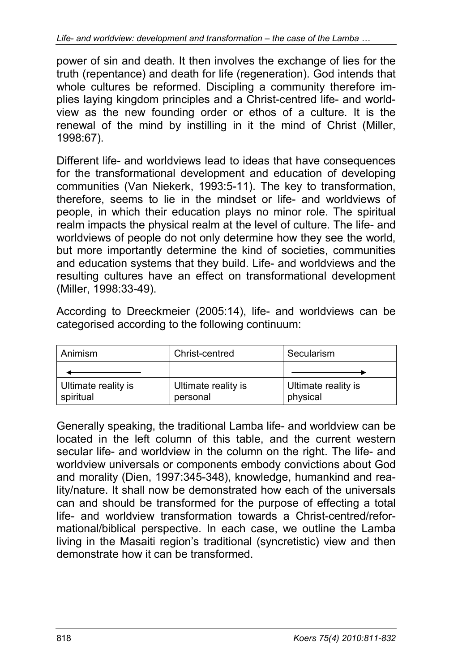power of sin and death. It then involves the exchange of lies for the truth (repentance) and death for life (regeneration). God intends that whole cultures be reformed. Discipling a community therefore implies laying kingdom principles and a Christ-centred life- and worldview as the new founding order or ethos of a culture. It is the renewal of the mind by instilling in it the mind of Christ (Miller, 1998:67).

Different life- and worldviews lead to ideas that have consequences for the transformational development and education of developing communities (Van Niekerk, 1993:5-11). The key to transformation, therefore, seems to lie in the mindset or life- and worldviews of people, in which their education plays no minor role. The spiritual realm impacts the physical realm at the level of culture. The life- and worldviews of people do not only determine how they see the world, but more importantly determine the kind of societies, communities and education systems that they build. Life- and worldviews and the resulting cultures have an effect on transformational development (Miller, 1998:33-49).

According to Dreeckmeier (2005:14), life- and worldviews can be categorised according to the following continuum:

| Animism                          | Christ-centred                  | Secularism                      |
|----------------------------------|---------------------------------|---------------------------------|
|                                  |                                 |                                 |
| Ultimate reality is<br>spiritual | Ultimate reality is<br>personal | Ultimate reality is<br>physical |

Generally speaking, the traditional Lamba life- and worldview can be located in the left column of this table, and the current western secular life- and worldview in the column on the right. The life- and worldview universals or components embody convictions about God and morality (Dien, 1997:345-348), knowledge, humankind and reality/nature. It shall now be demonstrated how each of the universals can and should be transformed for the purpose of effecting a total life- and worldview transformation towards a Christ-centred/reformational/biblical perspective. In each case, we outline the Lamba living in the Masaiti region's traditional (syncretistic) view and then demonstrate how it can be transformed.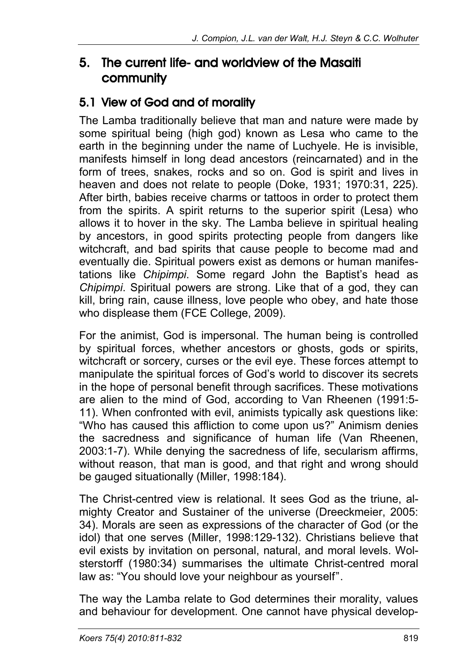### 5. The current life- and worldview of the Masaiti community

### 5.1 View of God and of morality

The Lamba traditionally believe that man and nature were made by some spiritual being (high god) known as Lesa who came to the earth in the beginning under the name of Luchyele. He is invisible, manifests himself in long dead ancestors (reincarnated) and in the form of trees, snakes, rocks and so on. God is spirit and lives in heaven and does not relate to people (Doke, 1931; 1970:31, 225). After birth, babies receive charms or tattoos in order to protect them from the spirits. A spirit returns to the superior spirit (Lesa) who allows it to hover in the sky. The Lamba believe in spiritual healing by ancestors, in good spirits protecting people from dangers like witchcraft, and bad spirits that cause people to become mad and eventually die. Spiritual powers exist as demons or human manifestations like *Chipimpi*. Some regard John the Baptist's head as *Chipimpi*. Spiritual powers are strong. Like that of a god, they can kill, bring rain, cause illness, love people who obey, and hate those who displease them (FCE College, 2009).

For the animist, God is impersonal. The human being is controlled by spiritual forces, whether ancestors or ghosts, gods or spirits, witchcraft or sorcery, curses or the evil eye. These forces attempt to manipulate the spiritual forces of God's world to discover its secrets in the hope of personal benefit through sacrifices. These motivations are alien to the mind of God, according to Van Rheenen (1991:5- 11). When confronted with evil, animists typically ask questions like: "Who has caused this affliction to come upon us?" Animism denies the sacredness and significance of human life (Van Rheenen, 2003:1-7). While denying the sacredness of life, secularism affirms, without reason, that man is good, and that right and wrong should be gauged situationally (Miller, 1998:184).

The Christ-centred view is relational. It sees God as the triune, almighty Creator and Sustainer of the universe (Dreeckmeier, 2005: 34). Morals are seen as expressions of the character of God (or the idol) that one serves (Miller, 1998:129-132). Christians believe that evil exists by invitation on personal, natural, and moral levels. Wolsterstorff (1980:34) summarises the ultimate Christ-centred moral law as: "You should love your neighbour as yourself".

The way the Lamba relate to God determines their morality, values and behaviour for development. One cannot have physical develop-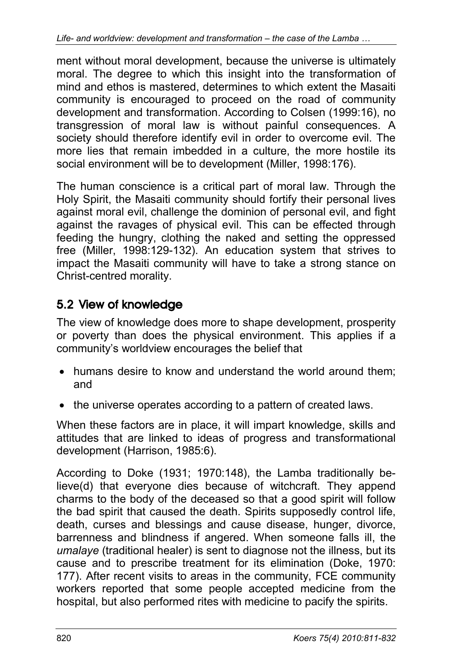ment without moral development, because the universe is ultimately moral. The degree to which this insight into the transformation of mind and ethos is mastered, determines to which extent the Masaiti community is encouraged to proceed on the road of community development and transformation. According to Colsen (1999:16), no transgression of moral law is without painful consequences. A society should therefore identify evil in order to overcome evil. The more lies that remain imbedded in a culture, the more hostile its social environment will be to development (Miller, 1998:176).

The human conscience is a critical part of moral law. Through the Holy Spirit, the Masaiti community should fortify their personal lives against moral evil, challenge the dominion of personal evil, and fight against the ravages of physical evil. This can be effected through feeding the hungry, clothing the naked and setting the oppressed free (Miller, 1998:129-132). An education system that strives to impact the Masaiti community will have to take a strong stance on Christ-centred morality.

### 5.2 View of knowledge

The view of knowledge does more to shape development, prosperity or poverty than does the physical environment. This applies if a community's worldview encourages the belief that

- humans desire to know and understand the world around them: and
- the universe operates according to a pattern of created laws.

When these factors are in place, it will impart knowledge, skills and attitudes that are linked to ideas of progress and transformational development (Harrison, 1985:6).

According to Doke (1931; 1970:148), the Lamba traditionally believe(d) that everyone dies because of witchcraft. They append charms to the body of the deceased so that a good spirit will follow the bad spirit that caused the death. Spirits supposedly control life, death, curses and blessings and cause disease, hunger, divorce, barrenness and blindness if angered. When someone falls ill, the *umalaye* (traditional healer) is sent to diagnose not the illness, but its cause and to prescribe treatment for its elimination (Doke, 1970: 177). After recent visits to areas in the community, FCE community workers reported that some people accepted medicine from the hospital, but also performed rites with medicine to pacify the spirits.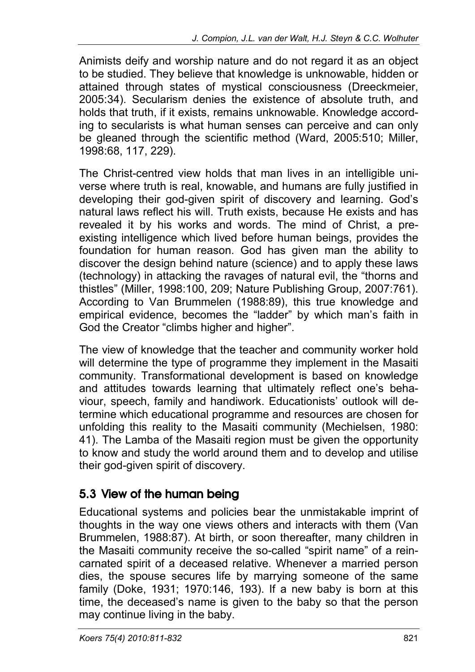Animists deify and worship nature and do not regard it as an object to be studied. They believe that knowledge is unknowable, hidden or attained through states of mystical consciousness (Dreeckmeier, 2005:34). Secularism denies the existence of absolute truth, and holds that truth, if it exists, remains unknowable. Knowledge according to secularists is what human senses can perceive and can only be gleaned through the scientific method (Ward, 2005:510; Miller, 1998:68, 117, 229).

The Christ-centred view holds that man lives in an intelligible universe where truth is real, knowable, and humans are fully justified in developing their god-given spirit of discovery and learning. God's natural laws reflect his will. Truth exists, because He exists and has revealed it by his works and words. The mind of Christ, a preexisting intelligence which lived before human beings, provides the foundation for human reason. God has given man the ability to discover the design behind nature (science) and to apply these laws (technology) in attacking the ravages of natural evil, the "thorns and thistles" (Miller, 1998:100, 209; Nature Publishing Group, 2007:761). According to Van Brummelen (1988:89), this true knowledge and empirical evidence, becomes the "ladder" by which man's faith in God the Creator "climbs higher and higher".

The view of knowledge that the teacher and community worker hold will determine the type of programme they implement in the Masaiti community. Transformational development is based on knowledge and attitudes towards learning that ultimately reflect one's behaviour, speech, family and handiwork. Educationists' outlook will determine which educational programme and resources are chosen for unfolding this reality to the Masaiti community (Mechielsen, 1980: 41). The Lamba of the Masaiti region must be given the opportunity to know and study the world around them and to develop and utilise their god-given spirit of discovery.

### 5.3 View of the human being

Educational systems and policies bear the unmistakable imprint of thoughts in the way one views others and interacts with them (Van Brummelen, 1988:87). At birth, or soon thereafter, many children in the Masaiti community receive the so-called "spirit name" of a reincarnated spirit of a deceased relative. Whenever a married person dies, the spouse secures life by marrying someone of the same family (Doke, 1931; 1970:146, 193). If a new baby is born at this time, the deceased's name is given to the baby so that the person may continue living in the baby.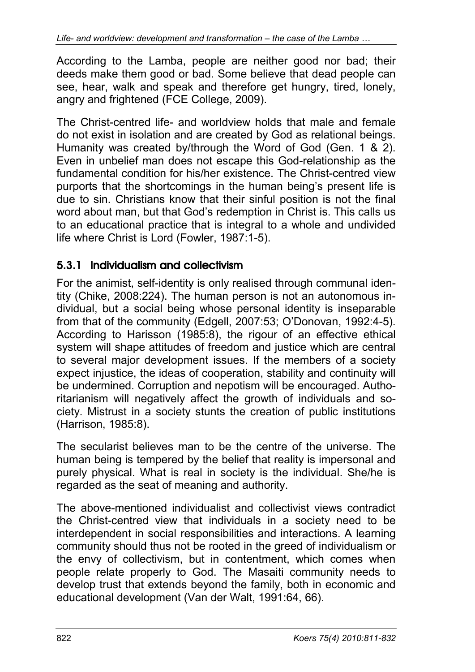According to the Lamba, people are neither good nor bad; their deeds make them good or bad. Some believe that dead people can see, hear, walk and speak and therefore get hungry, tired, lonely, angry and frightened (FCE College, 2009).

The Christ-centred life- and worldview holds that male and female do not exist in isolation and are created by God as relational beings. Humanity was created by/through the Word of God (Gen. 1 & 2). Even in unbelief man does not escape this God-relationship as the fundamental condition for his/her existence. The Christ-centred view purports that the shortcomings in the human being's present life is due to sin. Christians know that their sinful position is not the final word about man, but that God's redemption in Christ is. This calls us to an educational practice that is integral to a whole and undivided life where Christ is Lord (Fowler, 1987:1-5).

### 5.3.1 Individualism and collectivism

For the animist, self-identity is only realised through communal identity (Chike, 2008:224). The human person is not an autonomous individual, but a social being whose personal identity is inseparable from that of the community (Edgell, 2007:53; O'Donovan, 1992:4-5). According to Harisson (1985:8), the rigour of an effective ethical system will shape attitudes of freedom and justice which are central to several major development issues. If the members of a society expect injustice, the ideas of cooperation, stability and continuity will be undermined. Corruption and nepotism will be encouraged. Authoritarianism will negatively affect the growth of individuals and society. Mistrust in a society stunts the creation of public institutions (Harrison, 1985:8).

The secularist believes man to be the centre of the universe. The human being is tempered by the belief that reality is impersonal and purely physical. What is real in society is the individual. She/he is regarded as the seat of meaning and authority.

The above-mentioned individualist and collectivist views contradict the Christ-centred view that individuals in a society need to be interdependent in social responsibilities and interactions. A learning community should thus not be rooted in the greed of individualism or the envy of collectivism, but in contentment, which comes when people relate properly to God. The Masaiti community needs to develop trust that extends beyond the family, both in economic and educational development (Van der Walt, 1991:64, 66).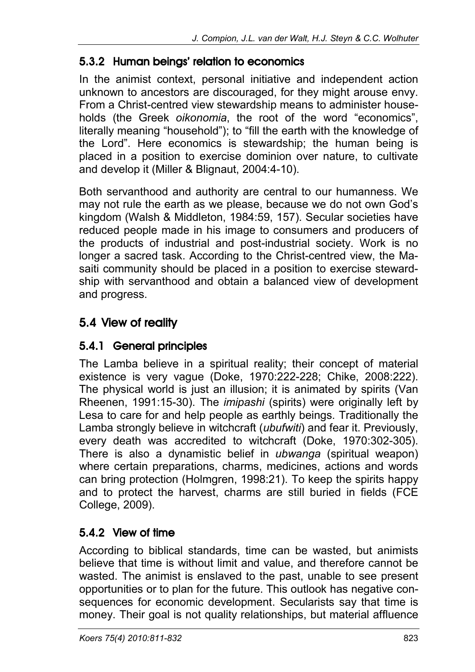### 5.3.2 Human beings' relation to economics

In the animist context, personal initiative and independent action unknown to ancestors are discouraged, for they might arouse envy. From a Christ-centred view stewardship means to administer households (the Greek *oikonomia*, the root of the word "economics", literally meaning "household"); to "fill the earth with the knowledge of the Lord". Here economics is stewardship; the human being is placed in a position to exercise dominion over nature, to cultivate and develop it (Miller & Blignaut, 2004:4-10).

Both servanthood and authority are central to our humanness. We may not rule the earth as we please, because we do not own God's kingdom (Walsh & Middleton, 1984:59, 157). Secular societies have reduced people made in his image to consumers and producers of the products of industrial and post-industrial society. Work is no longer a sacred task. According to the Christ-centred view, the Masaiti community should be placed in a position to exercise stewardship with servanthood and obtain a balanced view of development and progress.

### 5.4 View of reality

### 5.4.1 General principles

The Lamba believe in a spiritual reality; their concept of material existence is very vague (Doke, 1970:222-228; Chike, 2008:222). The physical world is just an illusion; it is animated by spirits (Van Rheenen, 1991:15-30). The *imipashi* (spirits) were originally left by Lesa to care for and help people as earthly beings. Traditionally the Lamba strongly believe in witchcraft (*ubufwiti*) and fear it. Previously, every death was accredited to witchcraft (Doke, 1970:302-305). There is also a dynamistic belief in *ubwanga* (spiritual weapon) where certain preparations, charms, medicines, actions and words can bring protection (Holmgren, 1998:21). To keep the spirits happy and to protect the harvest, charms are still buried in fields (FCE College, 2009).

### 5.4.2 View of time

According to biblical standards, time can be wasted, but animists believe that time is without limit and value, and therefore cannot be wasted. The animist is enslaved to the past, unable to see present opportunities or to plan for the future. This outlook has negative consequences for economic development. Secularists say that time is money. Their goal is not quality relationships, but material affluence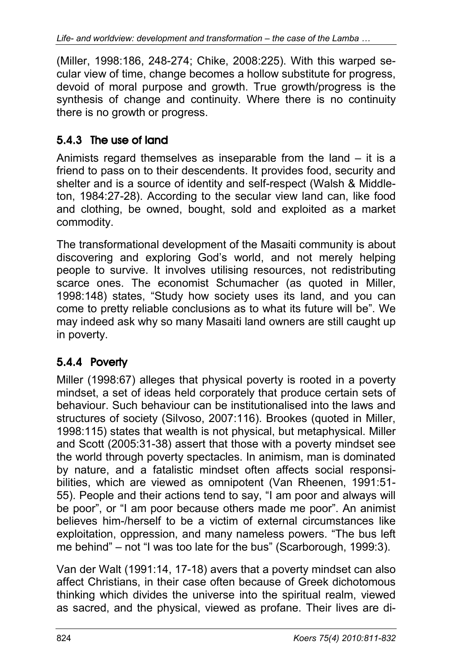(Miller, 1998:186, 248-274; Chike, 2008:225). With this warped secular view of time, change becomes a hollow substitute for progress, devoid of moral purpose and growth. True growth/progress is the synthesis of change and continuity. Where there is no continuity there is no growth or progress.

### 5.4.3 The use of land

Animists regard themselves as inseparable from the land – it is a friend to pass on to their descendents. It provides food, security and shelter and is a source of identity and self-respect (Walsh & Middleton, 1984:27-28). According to the secular view land can, like food and clothing, be owned, bought, sold and exploited as a market commodity.

The transformational development of the Masaiti community is about discovering and exploring God's world, and not merely helping people to survive. It involves utilising resources, not redistributing scarce ones. The economist Schumacher (as quoted in Miller, 1998:148) states, "Study how society uses its land, and you can come to pretty reliable conclusions as to what its future will be". We may indeed ask why so many Masaiti land owners are still caught up in poverty.

### 5.4.4 Poverty

Miller (1998:67) alleges that physical poverty is rooted in a poverty mindset, a set of ideas held corporately that produce certain sets of behaviour. Such behaviour can be institutionalised into the laws and structures of society (Silvoso, 2007:116). Brookes (quoted in Miller, 1998:115) states that wealth is not physical, but metaphysical. Miller and Scott (2005:31-38) assert that those with a poverty mindset see the world through poverty spectacles. In animism, man is dominated by nature, and a fatalistic mindset often affects social responsibilities, which are viewed as omnipotent (Van Rheenen, 1991:51- 55). People and their actions tend to say, "I am poor and always will be poor", or "I am poor because others made me poor". An animist believes him-/herself to be a victim of external circumstances like exploitation, oppression, and many nameless powers. "The bus left me behind" – not "I was too late for the bus" (Scarborough, 1999:3).

Van der Walt (1991:14, 17-18) avers that a poverty mindset can also affect Christians, in their case often because of Greek dichotomous thinking which divides the universe into the spiritual realm, viewed as sacred, and the physical, viewed as profane. Their lives are di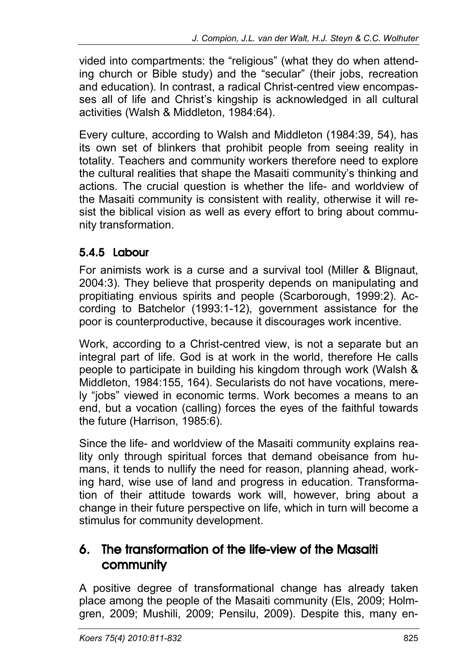vided into compartments: the "religious" (what they do when attending church or Bible study) and the "secular" (their jobs, recreation and education). In contrast, a radical Christ-centred view encompasses all of life and Christ's kingship is acknowledged in all cultural activities (Walsh & Middleton, 1984:64).

Every culture, according to Walsh and Middleton (1984:39, 54), has its own set of blinkers that prohibit people from seeing reality in totality. Teachers and community workers therefore need to explore the cultural realities that shape the Masaiti community's thinking and actions. The crucial question is whether the life- and worldview of the Masaiti community is consistent with reality, otherwise it will resist the biblical vision as well as every effort to bring about community transformation.

## 5.4.5 Labour

For animists work is a curse and a survival tool (Miller & Blignaut, 2004:3). They believe that prosperity depends on manipulating and propitiating envious spirits and people (Scarborough, 1999:2). According to Batchelor (1993:1-12), government assistance for the poor is counterproductive, because it discourages work incentive.

Work, according to a Christ-centred view, is not a separate but an integral part of life. God is at work in the world, therefore He calls people to participate in building his kingdom through work (Walsh & Middleton, 1984:155, 164). Secularists do not have vocations, merely "jobs" viewed in economic terms. Work becomes a means to an end, but a vocation (calling) forces the eyes of the faithful towards the future (Harrison, 1985:6).

Since the life- and worldview of the Masaiti community explains reality only through spiritual forces that demand obeisance from humans, it tends to nullify the need for reason, planning ahead, working hard, wise use of land and progress in education. Transformation of their attitude towards work will, however, bring about a change in their future perspective on life, which in turn will become a stimulus for community development.

### 6. The transformation of the life-view of the Masaiti community

A positive degree of transformational change has already taken place among the people of the Masaiti community (Els, 2009; Holmgren, 2009; Mushili, 2009; Pensilu, 2009). Despite this, many en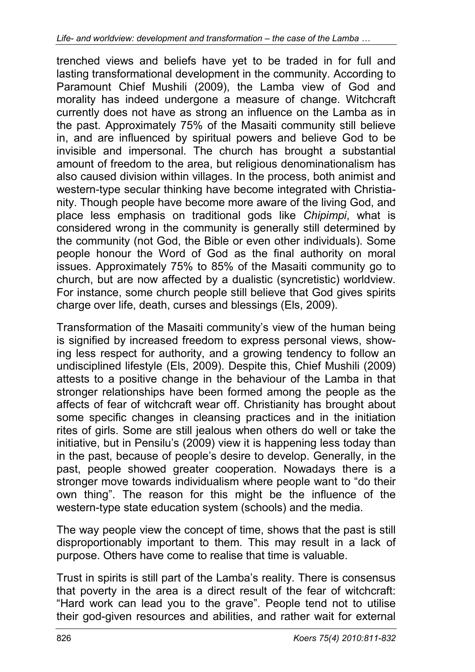trenched views and beliefs have yet to be traded in for full and lasting transformational development in the community. According to Paramount Chief Mushili (2009), the Lamba view of God and morality has indeed undergone a measure of change. Witchcraft currently does not have as strong an influence on the Lamba as in the past. Approximately 75% of the Masaiti community still believe in, and are influenced by spiritual powers and believe God to be invisible and impersonal. The church has brought a substantial amount of freedom to the area, but religious denominationalism has also caused division within villages. In the process, both animist and western-type secular thinking have become integrated with Christianity. Though people have become more aware of the living God, and place less emphasis on traditional gods like *Chipimpi*, what is considered wrong in the community is generally still determined by the community (not God, the Bible or even other individuals). Some people honour the Word of God as the final authority on moral issues. Approximately 75% to 85% of the Masaiti community go to church, but are now affected by a dualistic (syncretistic) worldview. For instance, some church people still believe that God gives spirits charge over life, death, curses and blessings (Els, 2009).

Transformation of the Masaiti community's view of the human being is signified by increased freedom to express personal views, showing less respect for authority, and a growing tendency to follow an undisciplined lifestyle (Els, 2009). Despite this, Chief Mushili (2009) attests to a positive change in the behaviour of the Lamba in that stronger relationships have been formed among the people as the affects of fear of witchcraft wear off. Christianity has brought about some specific changes in cleansing practices and in the initiation rites of girls. Some are still jealous when others do well or take the initiative, but in Pensilu's (2009) view it is happening less today than in the past, because of people's desire to develop. Generally, in the past, people showed greater cooperation. Nowadays there is a stronger move towards individualism where people want to "do their own thing". The reason for this might be the influence of the western-type state education system (schools) and the media.

The way people view the concept of time, shows that the past is still disproportionably important to them. This may result in a lack of purpose. Others have come to realise that time is valuable.

Trust in spirits is still part of the Lamba's reality. There is consensus that poverty in the area is a direct result of the fear of witchcraft: "Hard work can lead you to the grave". People tend not to utilise their god-given resources and abilities, and rather wait for external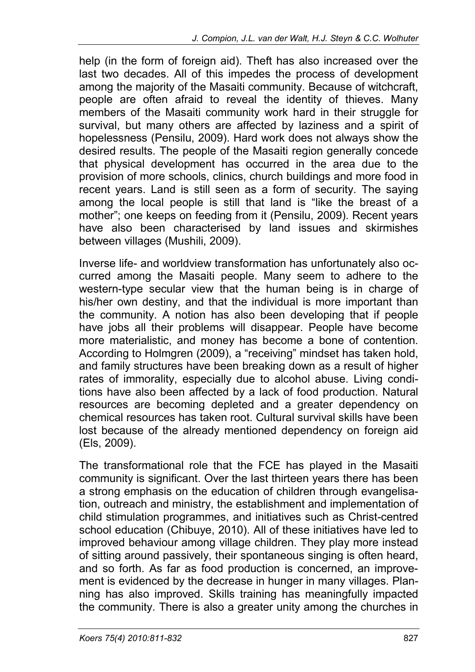help (in the form of foreign aid). Theft has also increased over the last two decades. All of this impedes the process of development among the majority of the Masaiti community. Because of witchcraft, people are often afraid to reveal the identity of thieves. Many members of the Masaiti community work hard in their struggle for survival, but many others are affected by laziness and a spirit of hopelessness (Pensilu, 2009). Hard work does not always show the desired results. The people of the Masaiti region generally concede that physical development has occurred in the area due to the provision of more schools, clinics, church buildings and more food in recent years. Land is still seen as a form of security. The saying among the local people is still that land is "like the breast of a mother"; one keeps on feeding from it (Pensilu, 2009). Recent years have also been characterised by land issues and skirmishes between villages (Mushili, 2009).

Inverse life- and worldview transformation has unfortunately also occurred among the Masaiti people. Many seem to adhere to the western-type secular view that the human being is in charge of his/her own destiny, and that the individual is more important than the community. A notion has also been developing that if people have jobs all their problems will disappear. People have become more materialistic, and money has become a bone of contention. According to Holmgren (2009), a "receiving" mindset has taken hold, and family structures have been breaking down as a result of higher rates of immorality, especially due to alcohol abuse. Living conditions have also been affected by a lack of food production. Natural resources are becoming depleted and a greater dependency on chemical resources has taken root. Cultural survival skills have been lost because of the already mentioned dependency on foreign aid (Els, 2009).

The transformational role that the FCE has played in the Masaiti community is significant. Over the last thirteen years there has been a strong emphasis on the education of children through evangelisation, outreach and ministry, the establishment and implementation of child stimulation programmes, and initiatives such as Christ-centred school education (Chibuye, 2010). All of these initiatives have led to improved behaviour among village children. They play more instead of sitting around passively, their spontaneous singing is often heard, and so forth. As far as food production is concerned, an improvement is evidenced by the decrease in hunger in many villages. Planning has also improved. Skills training has meaningfully impacted the community. There is also a greater unity among the churches in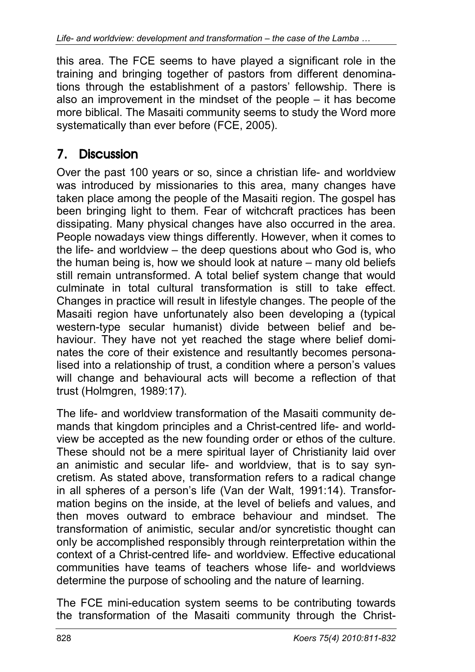this area. The FCE seems to have played a significant role in the training and bringing together of pastors from different denominations through the establishment of a pastors' fellowship. There is also an improvement in the mindset of the people – it has become more biblical. The Masaiti community seems to study the Word more systematically than ever before (FCE, 2005).

## 7. Discussion

Over the past 100 years or so, since a christian life- and worldview was introduced by missionaries to this area, many changes have taken place among the people of the Masaiti region. The gospel has been bringing light to them. Fear of witchcraft practices has been dissipating. Many physical changes have also occurred in the area. People nowadays view things differently. However, when it comes to the life- and worldview – the deep questions about who God is, who the human being is, how we should look at nature – many old beliefs still remain untransformed. A total belief system change that would culminate in total cultural transformation is still to take effect. Changes in practice will result in lifestyle changes. The people of the Masaiti region have unfortunately also been developing a (typical western-type secular humanist) divide between belief and behaviour. They have not yet reached the stage where belief dominates the core of their existence and resultantly becomes personalised into a relationship of trust, a condition where a person's values will change and behavioural acts will become a reflection of that trust (Holmgren, 1989:17).

The life- and worldview transformation of the Masaiti community demands that kingdom principles and a Christ-centred life- and worldview be accepted as the new founding order or ethos of the culture. These should not be a mere spiritual layer of Christianity laid over an animistic and secular life- and worldview, that is to say syncretism. As stated above, transformation refers to a radical change in all spheres of a person's life (Van der Walt, 1991:14). Transformation begins on the inside, at the level of beliefs and values, and then moves outward to embrace behaviour and mindset. The transformation of animistic, secular and/or syncretistic thought can only be accomplished responsibly through reinterpretation within the context of a Christ-centred life- and worldview. Effective educational communities have teams of teachers whose life- and worldviews determine the purpose of schooling and the nature of learning.

The FCE mini-education system seems to be contributing towards the transformation of the Masaiti community through the Christ-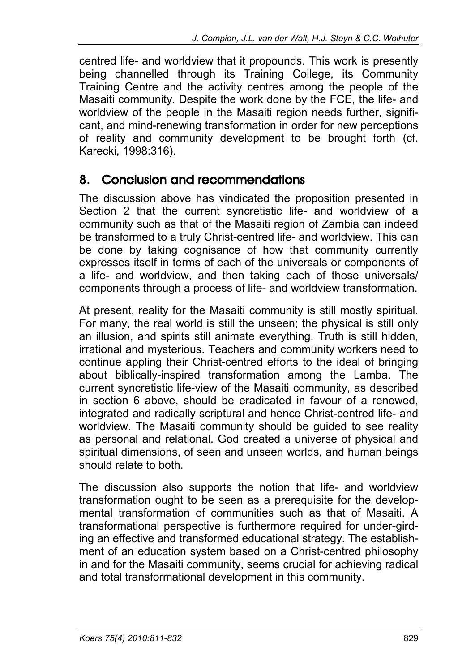centred life- and worldview that it propounds. This work is presently being channelled through its Training College, its Community Training Centre and the activity centres among the people of the Masaiti community. Despite the work done by the FCE, the life- and worldview of the people in the Masaiti region needs further, significant, and mind-renewing transformation in order for new perceptions of reality and community development to be brought forth (cf. Karecki, 1998:316).

### 8. Conclusion and recommendations

The discussion above has vindicated the proposition presented in Section 2 that the current syncretistic life- and worldview of a community such as that of the Masaiti region of Zambia can indeed be transformed to a truly Christ-centred life- and worldview. This can be done by taking cognisance of how that community currently expresses itself in terms of each of the universals or components of a life- and worldview, and then taking each of those universals/ components through a process of life- and worldview transformation.

At present, reality for the Masaiti community is still mostly spiritual. For many, the real world is still the unseen; the physical is still only an illusion, and spirits still animate everything. Truth is still hidden, irrational and mysterious. Teachers and community workers need to continue appling their Christ-centred efforts to the ideal of bringing about biblically-inspired transformation among the Lamba. The current syncretistic life-view of the Masaiti community, as described in section 6 above, should be eradicated in favour of a renewed, integrated and radically scriptural and hence Christ-centred life- and worldview. The Masaiti community should be guided to see reality as personal and relational. God created a universe of physical and spiritual dimensions, of seen and unseen worlds, and human beings should relate to both.

The discussion also supports the notion that life- and worldview transformation ought to be seen as a prerequisite for the developmental transformation of communities such as that of Masaiti. A transformational perspective is furthermore required for under-girding an effective and transformed educational strategy. The establishment of an education system based on a Christ-centred philosophy in and for the Masaiti community, seems crucial for achieving radical and total transformational development in this community.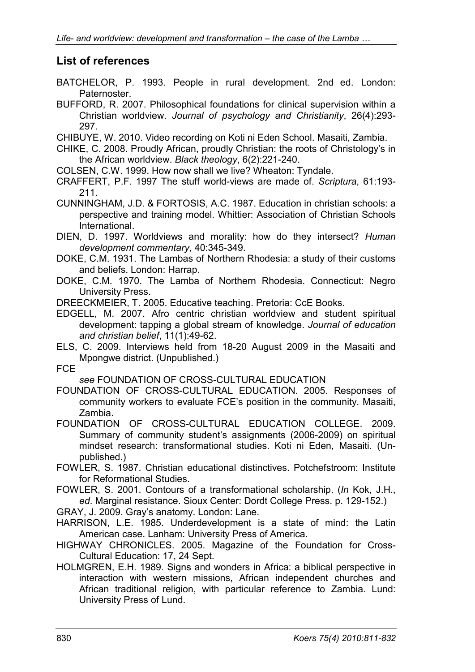#### **List of references**

- BATCHELOR, P. 1993. People in rural development. 2nd ed. London: Paternoster.
- BUFFORD, R. 2007. Philosophical foundations for clinical supervision within a Christian worldview. *Journal of psychology and Christianity*, 26(4):293- 297.
- CHIBUYE, W. 2010. Video recording on Koti ni Eden School. Masaiti, Zambia.
- CHIKE, C. 2008. Proudly African, proudly Christian: the roots of Christology's in the African worldview. *Black theology*, 6(2):221-240.
- COLSEN, C.W. 1999. How now shall we live? Wheaton: Tyndale.
- CRAFFERT, P.F. 1997 The stuff world-views are made of. *Scriptura*, 61:193- 211.
- CUNNINGHAM, J.D. & FORTOSIS, A.C. 1987. Education in christian schools: a perspective and training model. Whittier: Association of Christian Schools International.

DIEN, D. 1997. Worldviews and morality: how do they intersect? *Human development commentary*, 40:345-349.

- DOKE, C.M. 1931. The Lambas of Northern Rhodesia: a study of their customs and beliefs. London: Harrap.
- DOKE, C.M. 1970. The Lamba of Northern Rhodesia. Connecticut: Negro University Press.

DREECKMEIER, T. 2005. Educative teaching. Pretoria: CcE Books.

EDGELL, M. 2007. Afro centric christian worldview and student spiritual development: tapping a global stream of knowledge. *Journal of education and christian belief*, 11(1):49-62.

ELS, C. 2009. Interviews held from 18-20 August 2009 in the Masaiti and Mpongwe district. (Unpublished.)

FCE

*see* FOUNDATION OF CROSS-CULTURAL EDUCATION

- FOUNDATION OF CROSS-CULTURAL EDUCATION. 2005. Responses of community workers to evaluate FCE's position in the community. Masaiti, Zambia.
- FOUNDATION OF CROSS-CULTURAL EDUCATION COLLEGE. 2009. Summary of community student's assignments (2006-2009) on spiritual mindset research: transformational studies. Koti ni Eden, Masaiti. (Unpublished.)

FOWLER, S. 1987. Christian educational distinctives. Potchefstroom: Institute for Reformational Studies.

FOWLER, S. 2001. Contours of a transformational scholarship. (*In* Kok, J.H., *ed*. Marginal resistance. Sioux Center: Dordt College Press. p. 129-152.)

GRAY, J. 2009. Gray's anatomy. London: Lane.

HARRISON, L.E. 1985. Underdevelopment is a state of mind: the Latin American case. Lanham: University Press of America.

- HIGHWAY CHRONICLES. 2005. Magazine of the Foundation for Cross-Cultural Education: 17, 24 Sept.
- HOLMGREN, E.H. 1989. Signs and wonders in Africa: a biblical perspective in interaction with western missions, African independent churches and African traditional religion, with particular reference to Zambia. Lund: University Press of Lund.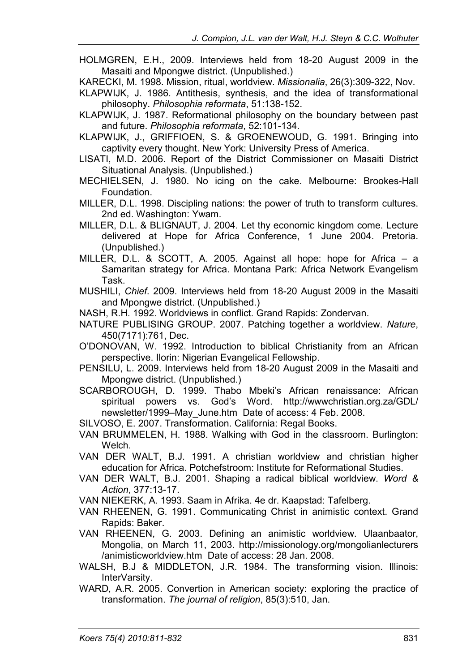- HOLMGREN, E.H., 2009. Interviews held from 18-20 August 2009 in the Masaiti and Mpongwe district. (Unpublished.)
- KARECKI, M. 1998. Mission, ritual, worldview. *Missionalia*, 26(3):309-322, Nov.
- KLAPWIJK, J. 1986. Antithesis, synthesis, and the idea of transformational philosophy. *Philosophia reformata*, 51:138-152.
- KLAPWIJK, J. 1987. Reformational philosophy on the boundary between past and future. *Philosophia reformata*, 52:101-134.
- KLAPWIJK, J., GRIFFIOEN, S. & GROENEWOUD, G. 1991. Bringing into captivity every thought. New York: University Press of America.
- LISATI, M.D. 2006. Report of the District Commissioner on Masaiti District Situational Analysis. (Unpublished.)
- MECHIELSEN, J. 1980. No icing on the cake. Melbourne: Brookes-Hall Foundation.
- MILLER, D.L. 1998. Discipling nations: the power of truth to transform cultures. 2nd ed. Washington: Ywam.
- MILLER, D.L. & BLIGNAUT, J. 2004. Let thy economic kingdom come. Lecture delivered at Hope for Africa Conference, 1 June 2004. Pretoria. (Unpublished.)
- MILLER, D.L. & SCOTT, A. 2005. Against all hope: hope for Africa a Samaritan strategy for Africa. Montana Park: Africa Network Evangelism Task.
- MUSHILI, *Chief*. 2009. Interviews held from 18-20 August 2009 in the Masaiti and Mpongwe district. (Unpublished.)
- NASH, R.H. 1992. Worldviews in conflict. Grand Rapids: Zondervan.
- NATURE PUBLISING GROUP. 2007. Patching together a worldview. *Nature*, 450(7171):761, Dec.
- O'DONOVAN, W. 1992. Introduction to biblical Christianity from an African perspective. Ilorin: Nigerian Evangelical Fellowship.
- PENSILU, L. 2009. Interviews held from 18-20 August 2009 in the Masaiti and Mpongwe district. (Unpublished.)
- SCARBOROUGH, D. 1999. Thabo Mbeki's African renaissance: African spiritual powers vs. God's Word. http://wwwchristian.org.za/GDL/ newsletter/1999–May\_June.htm Date of access: 4 Feb. 2008.
- SILVOSO, E. 2007. Transformation. California: Regal Books.
- VAN BRUMMELEN, H. 1988. Walking with God in the classroom. Burlington: Welch.
- VAN DER WALT, B.J. 1991. A christian worldview and christian higher education for Africa. Potchefstroom: Institute for Reformational Studies.
- VAN DER WALT, B.J. 2001. Shaping a radical biblical worldview. *Word & Action*, 377:13-17.
- VAN NIEKERK, A. 1993. Saam in Afrika. 4e dr. Kaapstad: Tafelberg.
- VAN RHEENEN, G. 1991. Communicating Christ in animistic context. Grand Rapids: Baker.
- VAN RHEENEN, G. 2003. Defining an animistic worldview. Ulaanbaator, Mongolia, on March 11, 2003. http://missionology.org/mongolianlecturers /animisticworldview.htm Date of access: 28 Jan. 2008.
- WALSH, B.J & MIDDLETON, J.R. 1984. The transforming vision. Illinois: InterVarsity.
- WARD, A.R. 2005. Convertion in American society: exploring the practice of transformation. *The journal of religion*, 85(3):510, Jan.